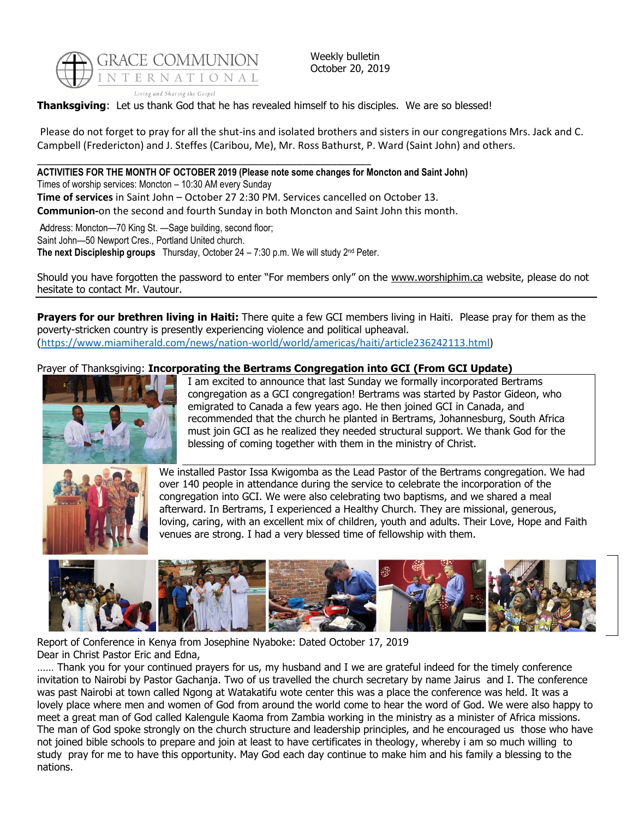

Weekly bulletin October 20, 2019

**Thanksgiving**: Let us thank God that he has revealed himself to his disciples. We are so blessed!

Please do not forget to pray for all the shut-ins and isolated brothers and sisters in our congregations Mrs. Jack and C. Campbell (Fredericton) and J. Steffes (Caribou, Me), Mr. Ross Bathurst, P. Ward (Saint John) and others.

### \_\_\_\_\_\_\_\_\_\_\_\_\_\_\_\_\_\_\_\_\_\_\_\_\_\_\_\_\_\_\_\_\_\_\_\_\_\_\_\_\_\_\_\_\_\_\_\_\_\_\_\_\_\_\_\_\_\_\_ **ACTIVITIES FOR THE MONTH OF OCTOBER 2019 (Please note some changes for Moncton and Saint John)**

Times of worship services: Moncton – 10:30 AM every Sunday **Time of services** in Saint John – October 27 2:30 PM. Services cancelled on October 13. **Communion-**on the second and fourth Sunday in both Moncton and Saint John this month.

Address: Moncton-70 King St. - Sage building, second floor; Saint John—50 Newport Cres., Portland United church.

**The next Discipleship groups** Thursday, October 24 – 7:30 p.m. We will study 2nd Peter.

Should you have forgotten the password to enter "For members only" on the [www.worshiphim.ca](http://www.worshiphim.ca/) website, please do not hesitate to contact Mr. Vautour.

**Prayers for our brethren living in Haiti:** There quite a few GCI members living in Haiti. Please pray for them as the poverty-stricken country is presently experiencing violence and political upheaval. ([https://www.miamiherald.com/news/nation-world/world/americas/haiti/article236242113.html\)](https://www.miamiherald.com/news/nation-world/world/americas/haiti/article236242113.html)

## Prayer of Thanksgiving: **Incorporating the Bertrams Congregation into GCI (From GCI Update)**



I am excited to announce that last Sunday we formally incorporated Bertrams congregation as a GCI congregation! Bertrams was started by Pastor Gideon, who emigrated to Canada a few years ago. He then joined GCI in Canada, and recommended that the church he planted in Bertrams, Johannesburg, South Africa must join GCI as he realized they needed structural support. We thank God for the blessing of coming together with them in the ministry of Christ.



We installed Pastor Issa Kwigomba as the Lead Pastor of the Bertrams congregation. We had over 140 people in attendance during the service to celebrate the incorporation of the congregation into GCI. We were also celebrating two baptisms, and we shared a meal afterward. In Bertrams, I experienced a Healthy Church. They are missional, generous, loving, caring, with an excellent mix of children, youth and adults. Their Love, Hope and Faith venues are strong. I had a very blessed time of fellowship with them.



Report of Conference in Kenya from Josephine Nyaboke: Dated October 17, 2019 Dear in Christ Pastor Eric and Edna,

…… Thank you for your continued prayers for us, my husband and I we are grateful indeed for the timely conference invitation to Nairobi by Pastor Gachanja. Two of us travelled the church secretary by name Jairus and I. The conference was past Nairobi at town called Ngong at Watakatifu wote center this was a place the conference was held. It was a lovely place where men and women of God from around the world come to hear the word of God. We were also happy to meet a great man of God called Kalengule Kaoma from Zambia working in the ministry as a minister of Africa missions. The man of God spoke strongly on the church structure and leadership principles, and he encouraged us those who have not joined bible schools to prepare and join at least to have certificates in theology, whereby i am so much willing to study pray for me to have this opportunity. May God each day continue to make him and his family a blessing to the nations.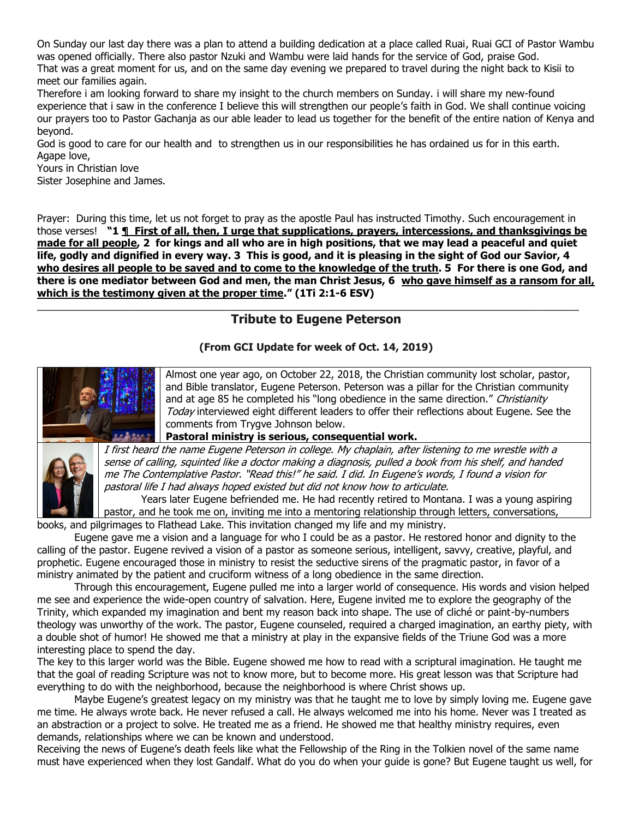On Sunday our last day there was a plan to attend a building dedication at a place called Ruai, Ruai GCI of Pastor Wambu was opened officially. There also pastor Nzuki and Wambu were laid hands for the service of God, praise God.

That was a great moment for us, and on the same day evening we prepared to travel during the night back to Kisii to meet our families again.

Therefore i am looking forward to share my insight to the church members on Sunday. i will share my new-found experience that i saw in the conference I believe this will strengthen our people's faith in God. We shall continue voicing our prayers too to Pastor Gachanja as our able leader to lead us together for the benefit of the entire nation of Kenya and beyond.

God is good to care for our health and to strengthen us in our responsibilities he has ordained us for in this earth. Agape love,

Yours in Christian love

Sister Josephine and James.

Prayer: During this time, let us not forget to pray as the apostle Paul has instructed Timothy. Such encouragement in those verses! **"1 ¶ First of all, then, I urge that supplications, prayers, intercessions, and thanksgivings be made for all people, 2 for kings and all who are in high positions, that we may lead a peaceful and quiet life, godly and dignified in every way. 3 This is good, and it is pleasing in the sight of God our Savior, 4 who desires all people to be saved and to come to the knowledge of the truth. 5 For there is one God, and there is one mediator between God and men, the man Christ Jesus, 6 who gave himself as a ransom for all, which is the testimony given at the proper time." (1Ti 2:1-6 ESV)**

# **Tribute to Eugene Peterson**

\_\_\_\_\_\_\_\_\_\_\_\_\_\_\_\_\_\_\_\_\_\_\_\_\_\_\_\_\_\_\_\_\_\_\_\_\_\_\_\_\_\_\_\_\_\_\_\_\_\_\_\_\_\_\_\_\_\_\_\_\_\_\_\_\_\_\_\_\_\_\_\_\_\_\_\_\_\_\_\_\_\_\_\_\_\_\_\_\_\_\_\_\_\_\_\_

## **(From GCI Update for week of Oct. 14, 2019)**



Almost one year ago, on October 22, 2018, the Christian community lost scholar, pastor, and Bible translator, Eugene Peterson. Peterson was a pillar for the Christian community and at age 85 he completed his "long obedience in the same direction." Christianity Today interviewed eight different leaders to offer their reflections about Eugene. See the comments from Trygve Johnson below.

**Pastoral ministry is serious, consequential work.**



I first heard the name Eugene Peterson in college. My chaplain, after listening to me wrestle with a sense of calling, squinted like a doctor making a diagnosis, pulled a book from his shelf, and handed me The Contemplative Pastor. "Read this!" he said. I did. In Eugene's words, I found a vision for pastoral life I had always hoped existed but did not know how to articulate.

Years later Eugene befriended me. He had recently retired to Montana. I was a young aspiring pastor, and he took me on, inviting me into a mentoring relationship through letters, conversations,

books, and pilgrimages to Flathead Lake. This invitation changed my life and my ministry.

Eugene gave me a vision and a language for who I could be as a pastor. He restored honor and dignity to the calling of the pastor. Eugene revived a vision of a pastor as someone serious, intelligent, savvy, creative, playful, and prophetic. Eugene encouraged those in ministry to resist the seductive sirens of the pragmatic pastor, in favor of a ministry animated by the patient and cruciform witness of a long obedience in the same direction.

Through this encouragement, Eugene pulled me into a larger world of consequence. His words and vision helped me see and experience the wide-open country of salvation. Here, Eugene invited me to explore the geography of the Trinity, which expanded my imagination and bent my reason back into shape. The use of cliché or paint-by-numbers theology was unworthy of the work. The pastor, Eugene counseled, required a charged imagination, an earthy piety, with a double shot of humor! He showed me that a ministry at play in the expansive fields of the Triune God was a more interesting place to spend the day.

The key to this larger world was the Bible. Eugene showed me how to read with a scriptural imagination. He taught me that the goal of reading Scripture was not to know more, but to become more. His great lesson was that Scripture had everything to do with the neighborhood, because the neighborhood is where Christ shows up.

Maybe Eugene's greatest legacy on my ministry was that he taught me to love by simply loving me. Eugene gave me time. He always wrote back. He never refused a call. He always welcomed me into his home. Never was I treated as an abstraction or a project to solve. He treated me as a friend. He showed me that healthy ministry requires, even demands, relationships where we can be known and understood.

Receiving the news of Eugene's death feels like what the Fellowship of the Ring in the Tolkien novel of the same name must have experienced when they lost Gandalf. What do you do when your guide is gone? But Eugene taught us well, for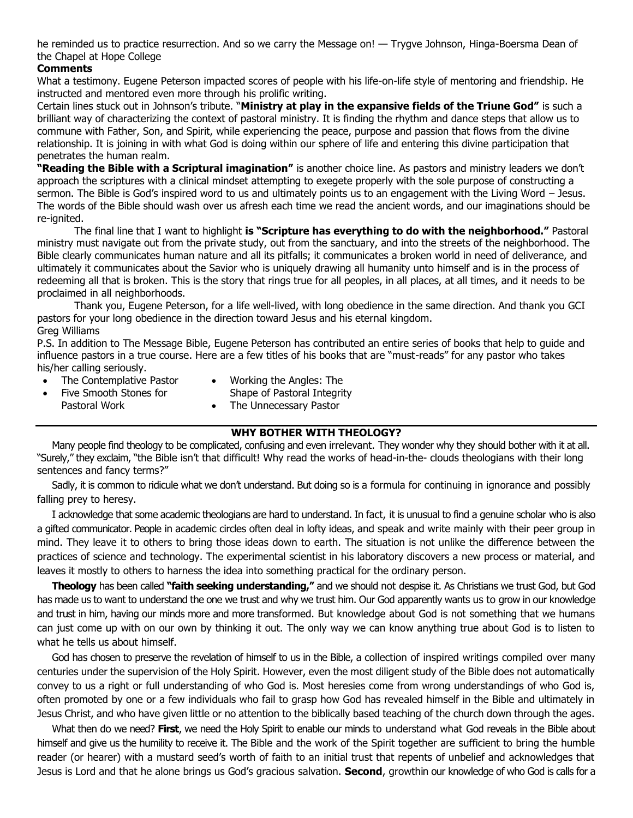he reminded us to practice resurrection. And so we carry the Message on! — Trygve Johnson, Hinga-Boersma Dean of the Chapel at Hope College

## **Comments**

What a testimony. Eugene Peterson impacted scores of people with his life-on-life style of mentoring and friendship. He instructed and mentored even more through his prolific writing.

Certain lines stuck out in Johnson's tribute. "**Ministry at play in the expansive fields of the Triune God"** is such a brilliant way of characterizing the context of pastoral ministry. It is finding the rhythm and dance steps that allow us to commune with Father, Son, and Spirit, while experiencing the peace, purpose and passion that flows from the divine relationship. It is joining in with what God is doing within our sphere of life and entering this divine participation that penetrates the human realm.

**"Reading the Bible with a Scriptural imagination"** is another choice line. As pastors and ministry leaders we don't approach the scriptures with a clinical mindset attempting to exegete properly with the sole purpose of constructing a sermon. The Bible is God's inspired word to us and ultimately points us to an engagement with the Living Word – Jesus. The words of the Bible should wash over us afresh each time we read the ancient words, and our imaginations should be re-ignited.

The final line that I want to highlight **is "Scripture has everything to do with the neighborhood."** Pastoral ministry must navigate out from the private study, out from the sanctuary, and into the streets of the neighborhood. The Bible clearly communicates human nature and all its pitfalls; it communicates a broken world in need of deliverance, and ultimately it communicates about the Savior who is uniquely drawing all humanity unto himself and is in the process of redeeming all that is broken. This is the story that rings true for all peoples, in all places, at all times, and it needs to be proclaimed in all neighborhoods.

Thank you, Eugene Peterson, for a life well-lived, with long obedience in the same direction. And thank you GCI pastors for your long obedience in the direction toward Jesus and his eternal kingdom. Greg Williams

P.S. In addition to The Message Bible, Eugene Peterson has contributed an entire series of books that help to guide and influence pastors in a true course. Here are a few titles of his books that are "must-reads" for any pastor who takes his/her calling seriously.

- The Contemplative Pastor
- Working the Angles: The
- Five Smooth Stones for
- Shape of Pastoral Integrity
- Pastoral Work
- The Unnecessary Pastor

### **WHY BOTHER WITH THEOLOGY?**

Many people find theology to be complicated, confusing and even irrelevant. They wonder why they should bother with it at all. "Surely," they exclaim, "the Bible isn't that difficult! Why read the works of head-in-the- clouds theologians with their long sentences and fancy terms?"

Sadly, it is common to ridicule what we don't understand. But doing so is a formula for continuing in ignorance and possibly falling prey to heresy.

I acknowledge that some academic theologians are hard to understand. In fact, it is unusual to find a genuine scholar who is also a gifted communicator. People in academic circles often deal in lofty ideas, and speak and write mainly with their peer group in mind. They leave it to others to bring those ideas down to earth. The situation is not unlike the difference between the practices of science and technology. The experimental scientist in his laboratory discovers a new process or material, and leaves it mostly to others to harness the idea into something practical for the ordinary person.

**Theology** has been called **"faith seeking understanding,"** and we should not despise it. As Christians we trust God, but God has made us to want to understand the one we trust and why we trust him. Our God apparently wants us to grow in our knowledge and trust in him, having our minds more and more transformed. But knowledge about God is not something that we humans can just come up with on our own by thinking it out. The only way we can know anything true about God is to listen to what he tells us about himself.

God has chosen to preserve the revelation of himself to us in the Bible, a collection of inspired writings compiled over many centuries under the supervision of the Holy Spirit. However, even the most diligent study of the Bible does not automatically convey to us a right or full understanding of who God is. Most heresies come from wrong understandings of who God is, often promoted by one or a few individuals who fail to grasp how God has revealed himself in the Bible and ultimately in Jesus Christ, and who have given little or no attention to the biblically based teaching of the church down through the ages.

What then do we need? **First**, we need the Holy Spirit to enable our minds to understand what God reveals in the Bible about himself and give us the humility to receive it. The Bible and the work of the Spirit together are sufficient to bring the humble reader (or hearer) with a mustard seed's worth of faith to an initial trust that repents of unbelief and acknowledges that Jesus is Lord and that he alone brings us God's gracious salvation. **Second**, growthin our knowledge of who God is calls for a